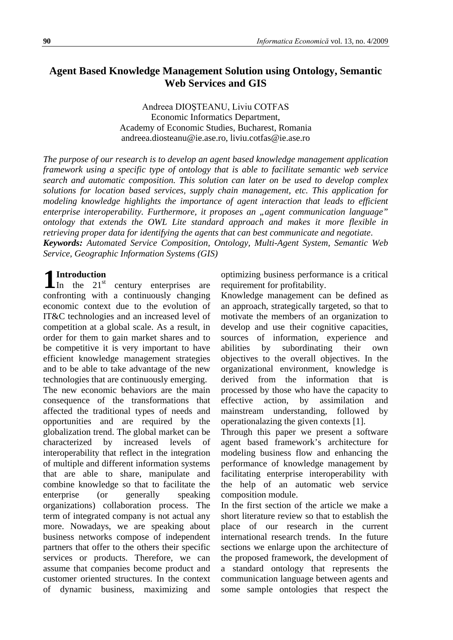## **Agent Based Knowledge Management Solution using Ontology, Semantic Web Services and GIS**

Andreea DIOŞTEANU, Liviu COTFAS Economic Informatics Department, Academy of Economic Studies, Bucharest, Romania andreea.diosteanu@ie.ase.ro, liviu.cotfas@ie.ase.ro

*The purpose of our research is to develop an agent based knowledge management application framework using a specific type of ontology that is able to facilitate semantic web service search and automatic composition. This solution can later on be used to develop complex solutions for location based services, supply chain management, etc. This application for modeling knowledge highlights the importance of agent interaction that leads to efficient enterprise interoperability. Furthermore, it proposes an "agent communication language" ontology that extends the OWL Lite standard approach and makes it more flexible in retrieving proper data for identifying the agents that can best communicate and negotiate*. *Keywords: Automated Service Composition, Ontology, Multi-Agent System, Semantic Web Service, Geographic Information Systems (GIS)*

# **Introduction**

In the  $21<sup>st</sup>$  century enterprises are confronting with a continuously changing economic context due to the evolution of IT&C technologies and an increased level of competition at a global scale. As a result, in order for them to gain market shares and to be competitive it is very important to have efficient knowledge management strategies and to be able to take advantage of the new technologies that are continuously emerging. **1**

The new economic behaviors are the main consequence of the transformations that affected the traditional types of needs and opportunities and are required by the globalization trend. The global market can be characterized by increased levels of interoperability that reflect in the integration of multiple and different information systems that are able to share, manipulate and combine knowledge so that to facilitate the enterprise (or generally speaking organizations) collaboration process. The term of integrated company is not actual any more. Nowadays, we are speaking about business networks compose of independent partners that offer to the others their specific services or products. Therefore, we can assume that companies become product and customer oriented structures. In the context of dynamic business, maximizing and optimizing business performance is a critical requirement for profitability.

Knowledge management can be defined as an approach, strategically targeted, so that to motivate the members of an organization to develop and use their cognitive capacities, sources of information, experience and abilities by subordinating their own objectives to the overall objectives. In the organizational environment, knowledge is derived from the information that is processed by those who have the capacity to effective action, by assimilation and mainstream understanding, followed by operationalazing the given contexts [1].

Through this paper we present a software agent based framework's architecture for modeling business flow and enhancing the performance of knowledge management by facilitating enterprise interoperability with the help of an automatic web service composition module.

In the first section of the article we make a short literature review so that to establish the place of our research in the current international research trends. In the future sections we enlarge upon the architecture of the proposed framework, the development of a standard ontology that represents the communication language between agents and some sample ontologies that respect the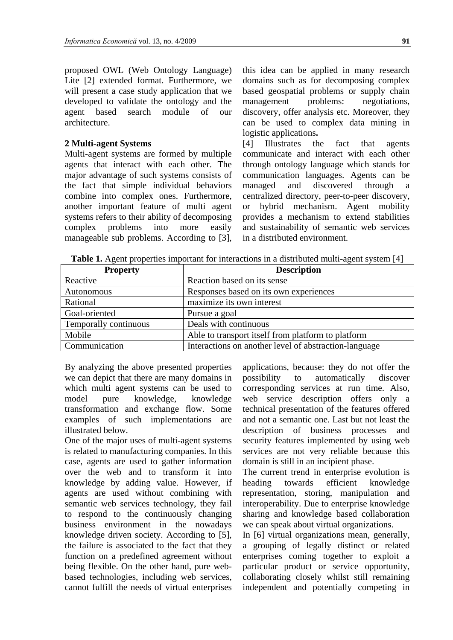proposed OWL (Web Ontology Language) Lite [2] extended format. Furthermore, we will present a case study application that we developed to validate the ontology and the agent based search module of our architecture.

### **2 Multi-agent Systems**

Multi-agent systems are formed by multiple agents that interact with each other. The major advantage of such systems consists of the fact that simple individual behaviors combine into complex ones. Furthermore, another important feature of multi agent systems refers to their ability of decomposing complex problems into more easily manageable sub problems. According to [3], this idea can be applied in many research domains such as for decomposing complex based geospatial problems or supply chain management problems: negotiations, discovery, offer analysis etc. Moreover, they can be used to complex data mining in logistic applications**.**

[4] Illustrates the fact that agents communicate and interact with each other through ontology language which stands for communication languages. Agents can be managed and discovered through a centralized directory, peer-to-peer discovery, or hybrid mechanism. Agent mobility provides a mechanism to extend stabilities and sustainability of semantic web services in a distributed environment.

**Table 1.** Agent properties important for interactions in a distributed multi-agent system [4]

| <b>Property</b>       | <b>Description</b>                                    |
|-----------------------|-------------------------------------------------------|
| Reactive              | Reaction based on its sense                           |
| Autonomous            | Responses based on its own experiences                |
| Rational              | maximize its own interest                             |
| Goal-oriented         | Pursue a goal                                         |
| Temporally continuous | Deals with continuous                                 |
| Mobile                | Able to transport itself from platform to platform    |
| Communication         | Interactions on another level of abstraction-language |

By analyzing the above presented properties we can depict that there are many domains in which multi agent systems can be used to model pure knowledge, knowledge transformation and exchange flow. Some examples of such implementations are illustrated below.

One of the major uses of multi-agent systems is related to manufacturing companies. In this case, agents are used to gather information over the web and to transform it into knowledge by adding value. However, if agents are used without combining with semantic web services technology, they fail to respond to the continuously changing business environment in the nowadays knowledge driven society. According to [5], the failure is associated to the fact that they function on a predefined agreement without being flexible. On the other hand, pure webbased technologies, including web services, cannot fulfill the needs of virtual enterprises

applications, because: they do not offer the possibility to automatically discover corresponding services at run time. Also, web service description offers only a technical presentation of the features offered and not a semantic one. Last but not least the description of business processes and security features implemented by using web services are not very reliable because this domain is still in an incipient phase.

The current trend in enterprise evolution is heading towards efficient knowledge representation, storing, manipulation and interoperability. Due to enterprise knowledge sharing and knowledge based collaboration we can speak about virtual organizations.

In [6] virtual organizations mean, generally, a grouping of legally distinct or related enterprises coming together to exploit a particular product or service opportunity, collaborating closely whilst still remaining independent and potentially competing in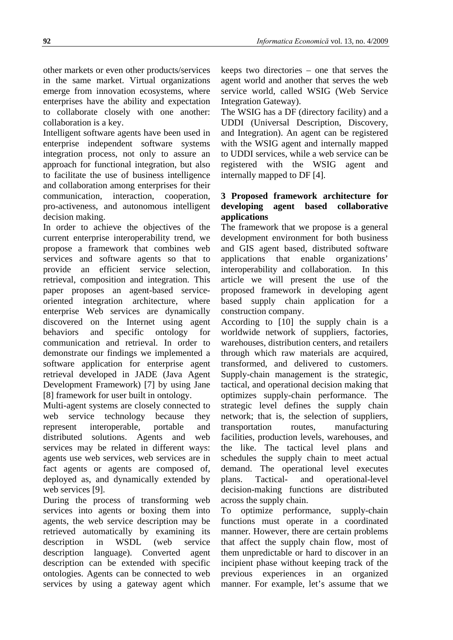other markets or even other products/services in the same market. Virtual organizations emerge from innovation ecosystems, where enterprises have the ability and expectation to collaborate closely with one another: collaboration is a key.

Intelligent software agents have been used in enterprise independent software systems integration process, not only to assure an approach for functional integration, but also to facilitate the use of business intelligence and collaboration among enterprises for their communication, interaction, cooperation, pro-activeness, and autonomous intelligent decision making.

In order to achieve the objectives of the current enterprise interoperability trend, we propose a framework that combines web services and software agents so that to provide an efficient service selection, retrieval, composition and integration. This paper proposes an agent-based serviceoriented integration architecture, where enterprise Web services are dynamically discovered on the Internet using agent behaviors and specific ontology for communication and retrieval. In order to demonstrate our findings we implemented a software application for enterprise agent retrieval developed in JADE (Java Agent Development Framework) [7] by using Jane [8] framework for user built in ontology.

Multi-agent systems are closely connected to web service technology because they represent interoperable, portable and distributed solutions. Agents and web services may be related in different ways: agents use web services, web services are in fact agents or agents are composed of, deployed as, and dynamically extended by web services [9].

During the process of transforming web services into agents or boxing them into agents, the web service description may be retrieved automatically by examining its description in WSDL (web service description language). Converted agent description can be extended with specific ontologies. Agents can be connected to web services by using a gateway agent which keeps two directories – one that serves the agent world and another that serves the web service world, called WSIG (Web Service Integration Gateway).

The WSIG has a DF (directory facility) and a UDDI (Universal Description, Discovery, and Integration). An agent can be registered with the WSIG agent and internally mapped to UDDI services, while a web service can be registered with the WSIG agent and internally mapped to DF [4].

## **3 Proposed framework architecture for developing agent based collaborative applications**

The framework that we propose is a general development environment for both business and GIS agent based, distributed software applications that enable organizations' interoperability and collaboration. In this article we will present the use of the proposed framework in developing agent based supply chain application for a construction company.

According to [10] the supply chain is a worldwide network of suppliers, factories, warehouses, distribution centers, and retailers through which raw materials are acquired, transformed, and delivered to customers. Supply-chain management is the strategic, tactical, and operational decision making that optimizes supply-chain performance. The strategic level defines the supply chain network; that is, the selection of suppliers, transportation routes, manufacturing facilities, production levels, warehouses, and the like. The tactical level plans and schedules the supply chain to meet actual demand. The operational level executes plans. Tactical- and operational-level decision-making functions are distributed across the supply chain.

To optimize performance, supply-chain functions must operate in a coordinated manner. However, there are certain problems that affect the supply chain flow, most of them unpredictable or hard to discover in an incipient phase without keeping track of the previous experiences in an organized manner. For example, let's assume that we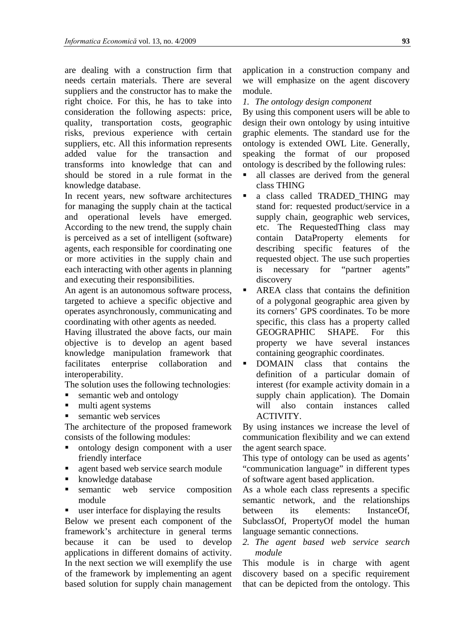are dealing with a construction firm that needs certain materials. There are several suppliers and the constructor has to make the right choice. For this, he has to take into consideration the following aspects: price, quality, transportation costs, geographic risks, previous experience with certain suppliers, etc. All this information represents added value for the transaction and transforms into knowledge that can and should be stored in a rule format in the knowledge database.

In recent years, new software architectures for managing the supply chain at the tactical and operational levels have emerged. According to the new trend, the supply chain is perceived as a set of intelligent (software) agents, each responsible for coordinating one or more activities in the supply chain and each interacting with other agents in planning and executing their responsibilities.

An agent is an autonomous software process, targeted to achieve a specific objective and operates asynchronously, communicating and coordinating with other agents as needed.

Having illustrated the above facts, our main objective is to develop an agent based knowledge manipulation framework that facilitates enterprise collaboration and interoperability.

The solution uses the following technologies:

- semantic web and ontology
- multi agent systems
- semantic web services

The architecture of the proposed framework consists of the following modules:

- ontology design component with a user friendly interface
- agent based web service search module
- knowledge database
- semantic web service composition module
- user interface for displaying the results

Below we present each component of the framework's architecture in general terms because it can be used to develop applications in different domains of activity. In the next section we will exemplify the use of the framework by implementing an agent based solution for supply chain management

application in a construction company and we will emphasize on the agent discovery module.

*1. The ontology design component*

By using this component users will be able to design their own ontology by using intuitive graphic elements. The standard use for the ontology is extended OWL Lite. Generally, speaking the format of our proposed ontology is described by the following rules:

- all classes are derived from the general class THING
- a class called TRADED THING may stand for: requested product/service in a supply chain, geographic web services, etc. The RequestedThing class may contain DataProperty elements for describing specific features of the requested object. The use such properties is necessary for "partner agents" discovery
- AREA class that contains the definition of a polygonal geographic area given by its corners' GPS coordinates. To be more specific, this class has a property called GEOGRAPHIC SHAPE. For this property we have several instances containing geographic coordinates.
- **DOMAIN** class that contains the definition of a particular domain of interest (for example activity domain in a supply chain application). The Domain will also contain instances called ACTIVITY.

By using instances we increase the level of communication flexibility and we can extend the agent search space.

This type of ontology can be used as agents' "communication language" in different types of software agent based application.

As a whole each class represents a specific semantic network, and the relationships between its elements: InstanceOf, SubclassOf, PropertyOf model the human language semantic connections.

*2. The agent based web service search module* 

This module is in charge with agent discovery based on a specific requirement that can be depicted from the ontology. This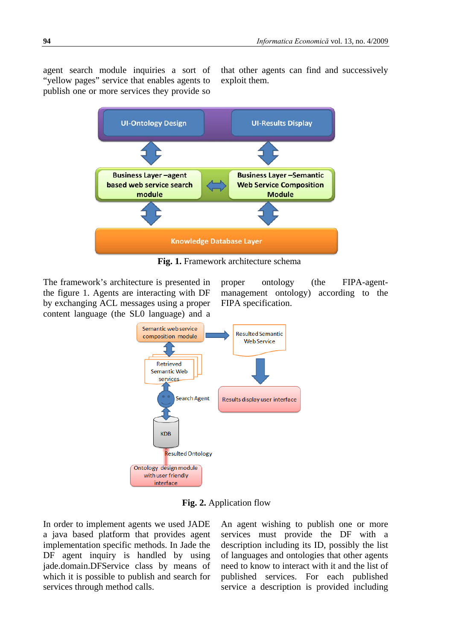agent search module inquiries a sort of "yellow pages" service that enables agents to publish one or more services they provide so

that other agents can find and successively exploit them.



**Fig. 1.** Framework architecture schema

The framework's architecture is presented in the figure 1. Agents are interacting with DF by exchanging ACL messages using a proper content language (the SL0 language) and a proper ontology (the FIPA-agentmanagement ontology) according to the FIPA specification.



**Fig. 2.** Application flow

In order to implement agents we used JADE a java based platform that provides agent implementation specific methods. In Jade the DF agent inquiry is handled by using jade.domain.DFService class by means of which it is possible to publish and search for services through method calls.

An agent wishing to publish one or more services must provide the DF with a description including its ID, possibly the list of languages and ontologies that other agents need to know to interact with it and the list of published services. For each published service a description is provided including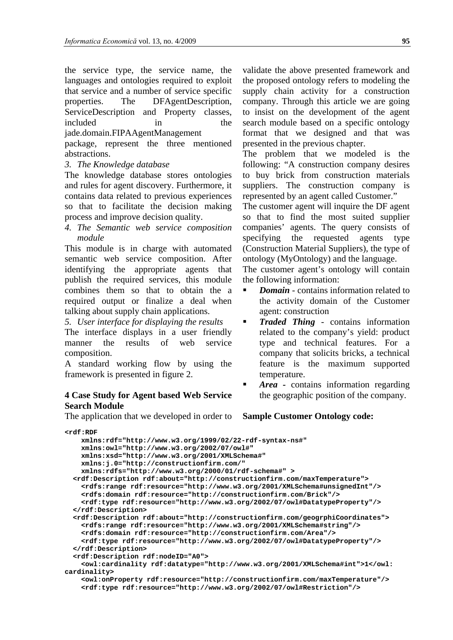the service type, the service name, the languages and ontologies required to exploit that service and a number of service specific properties. The DFAgentDescription, ServiceDescription and Property classes, included in the

jade.domain.FIPAAgentManagement

package, represent the three mentioned abstractions.

*3. The Knowledge database*

The knowledge database stores ontologies and rules for agent discovery. Furthermore, it contains data related to previous experiences so that to facilitate the decision making process and improve decision quality.

*4. The Semantic web service composition module*

This module is in charge with automated semantic web service composition. After identifying the appropriate agents that publish the required services, this module combines them so that to obtain the a required output or finalize a deal when talking about supply chain applications.

*5. User interface for displaying the results* The interface displays in a user friendly manner the results of web service composition.

A standard working flow by using the framework is presented in figure 2.

## **4 Case Study for Agent based Web Service Search Module**

The application that we developed in order to

validate the above presented framework and the proposed ontology refers to modeling the supply chain activity for a construction company. Through this article we are going to insist on the development of the agent search module based on a specific ontology format that we designed and that was presented in the previous chapter.

The problem that we modeled is the following: "A construction company desires to buy brick from construction materials suppliers. The construction company is represented by an agent called Customer."

The customer agent will inquire the DF agent so that to find the most suited supplier companies' agents. The query consists of specifying the requested agents type (Construction Material Suppliers), the type of ontology (MyOntology) and the language.

The customer agent's ontology will contain the following information:

- *Domain*  contains information related to the activity domain of the Customer agent: construction
- **Traded Thing** contains information related to the company's yield: product type and technical features. For a company that solicits bricks, a technical feature is the maximum supported temperature.
- *Area -* contains information regarding the geographic position of the company.

**Sample Customer Ontology code:**

```
<rdf:RDF
    xmlns:rdf="http://www.w3.org/1999/02/22-rdf-syntax-ns#"
     xmlns:owl="http://www.w3.org/2002/07/owl#"
    xmlns:xsd="http://www.w3.org/2001/XMLSchema#"
    xmlns:j.0="http://constructionfirm.com/"
    xmlns:rdfs="http://www.w3.org/2000/01/rdf-schema#" >
   <rdf:Description rdf:about="http://constructionfirm.com/maxTemperature">
     <rdfs:range rdf:resource="http://www.w3.org/2001/XMLSchema#unsignedInt"/>
     <rdfs:domain rdf:resource="http://constructionfirm.com/Brick"/>
     <rdf:type rdf:resource="http://www.w3.org/2002/07/owl#DatatypeProperty"/>
   </rdf:Description>
   <rdf:Description rdf:about="http://constructionfirm.com/geogrphiCoordinates">
     <rdfs:range rdf:resource="http://www.w3.org/2001/XMLSchema#string"/>
     <rdfs:domain rdf:resource="http://constructionfirm.com/Area"/>
     <rdf:type rdf:resource="http://www.w3.org/2002/07/owl#DatatypeProperty"/>
   </rdf:Description>
   <rdf:Description rdf:nodeID="A0">
     <owl:cardinality rdf:datatype="http://www.w3.org/2001/XMLSchema#int">1</owl:
cardinality>
     <owl:onProperty rdf:resource="http://constructionfirm.com/maxTemperature"/>
     <rdf:type rdf:resource="http://www.w3.org/2002/07/owl#Restriction"/>
```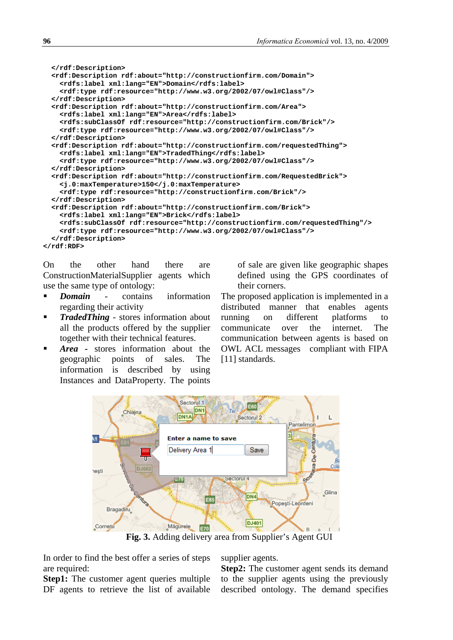```
 </rdf:Description>
   <rdf:Description rdf:about="http://constructionfirm.com/Domain">
     <rdfs:label xml:lang="EN">Domain</rdfs:label>
     <rdf:type rdf:resource="http://www.w3.org/2002/07/owl#Class"/>
   </rdf:Description>
   <rdf:Description rdf:about="http://constructionfirm.com/Area">
     <rdfs:label xml:lang="EN">Area</rdfs:label>
     <rdfs:subClassOf rdf:resource="http://constructionfirm.com/Brick"/>
     <rdf:type rdf:resource="http://www.w3.org/2002/07/owl#Class"/>
   </rdf:Description>
   <rdf:Description rdf:about="http://constructionfirm.com/requestedThing">
     <rdfs:label xml:lang="EN">TradedThing</rdfs:label>
     <rdf:type rdf:resource="http://www.w3.org/2002/07/owl#Class"/>
   </rdf:Description>
   <rdf:Description rdf:about="http://constructionfirm.com/RequestedBrick">
     <j.0:maxTemperature>150</j.0:maxTemperature>
     <rdf:type rdf:resource="http://constructionfirm.com/Brick"/>
   </rdf:Description>
   <rdf:Description rdf:about="http://constructionfirm.com/Brick">
     <rdfs:label xml:lang="EN">Brick</rdfs:label>
     <rdfs:subClassOf rdf:resource="http://constructionfirm.com/requestedThing"/>
     <rdf:type rdf:resource="http://www.w3.org/2002/07/owl#Class"/>
   </rdf:Description>
</rdf:RDF>
```
On the other hand there are ConstructionMaterialSupplier agents which use the same type of ontology:

- **Domain** contains information regarding their activity
- *TradedThing -* stores information about all the products offered by the supplier together with their technical features.
- *Area* stores information about the geographic points of sales. The information is described by using Instances and DataProperty. The points

of sale are given like geographic shapes defined using the GPS coordinates of their corners.

The proposed application is implemented in a distributed manner that enables agents running on different platforms to communicate over the internet. The communication between agents is based on OWL ACL messages compliant with FIPA [11] standards.



**Fig. 3.** Adding delivery area from Supplier's Agent GUI

In order to find the best offer a series of steps are required:

**Step1:** The customer agent queries multiple DF agents to retrieve the list of available supplier agents.

**Step2:** The customer agent sends its demand to the supplier agents using the previously described ontology. The demand specifies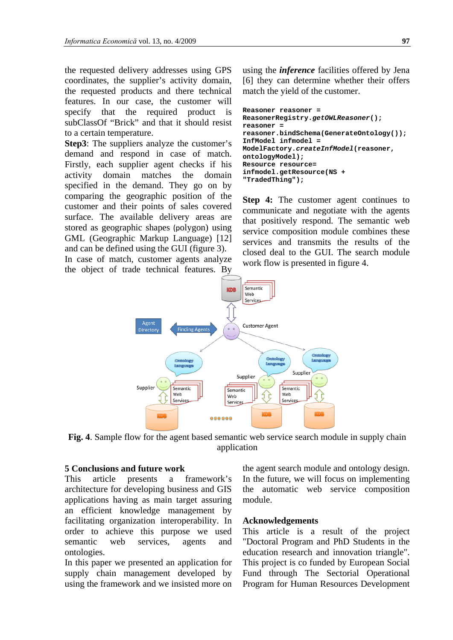the requested delivery addresses using GPS coordinates, the supplier's activity domain, the requested products and there technical features. In our case, the customer will specify that the required product is subClassOf "Brick" and that it should resist to a certain temperature.

**Step3**: The suppliers analyze the customer's demand and respond in case of match. Firstly, each supplier agent checks if his activity domain matches the domain specified in the demand. They go on by comparing the geographic position of the customer and their points of sales covered surface. The available delivery areas are stored as geographic shapes (polygon) using GML (Geographic Markup Language) [12] and can be defined using the GUI (figure 3).

In case of match, customer agents analyze the object of trade technical features. By using the *inference* facilities offered by Jena [6] they can determine whether their offers match the yield of the customer.

```
Reasoner reasoner = 
ReasonerRegistry.getOWLReasoner();
reasoner = 
reasoner.bindSchema(GenerateOntology());
InfModel infmodel = 
ModelFactory.createInfModel(reasoner, 
ontologyModel);
Resource resource= 
infmodel.getResource(NS + 
"TradedThing");
```
**Step 4:** The customer agent continues to communicate and negotiate with the agents that positively respond. The semantic web service composition module combines these services and transmits the results of the closed deal to the GUI. The search module work flow is presented in figure 4.



**Fig. 4**. Sample flow for the agent based semantic web service search module in supply chain application

### **5 Conclusions and future work**

This article presents a framework's architecture for developing business and GIS applications having as main target assuring an efficient knowledge management by facilitating organization interoperability. In order to achieve this purpose we used semantic web services, agents and ontologies.

In this paper we presented an application for supply chain management developed by using the framework and we insisted more on

the agent search module and ontology design. In the future, we will focus on implementing the automatic web service composition module.

### **Acknowledgements**

This article is a result of the project "Doctoral Program and PhD Students in the education research and innovation triangle". This project is co funded by European Social Fund through The Sectorial Operational Program for Human Resources Development